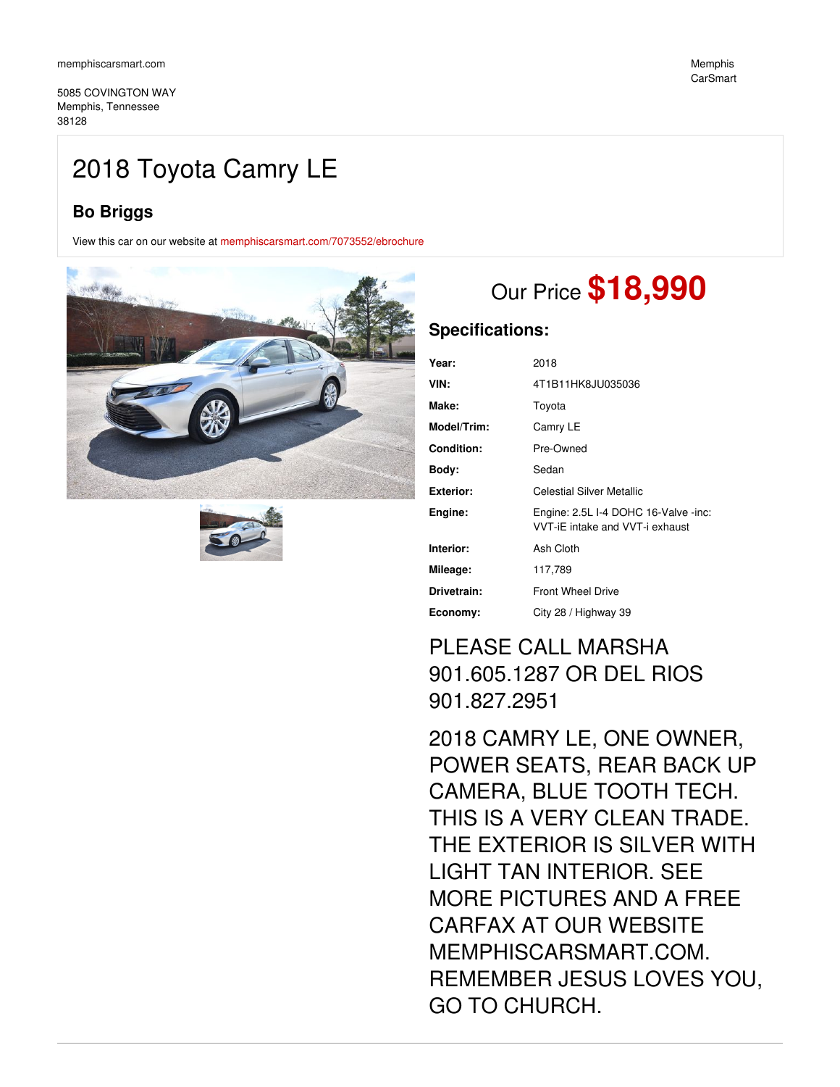5085 COVINGTON WAY Memphis, Tennessee 38128

## 2018 Toyota Camry LE

## **Bo Briggs**

View this car on our website at [memphiscarsmart.com/7073552/ebrochure](https://memphiscarsmart.com/vehicle/7073552/2018-toyota-camry-le-memphis-tennessee-38128/7073552/ebrochure)





# Our Price **\$18,990**

### **Specifications:**

| Year:             | 2018                                                                    |
|-------------------|-------------------------------------------------------------------------|
| VIN:              | 4T1B11HK8JU035036                                                       |
| Make:             | Toyota                                                                  |
| Model/Trim:       | Camry LE                                                                |
| <b>Condition:</b> | Pre-Owned                                                               |
| Bodv:             | Sedan                                                                   |
| Exterior:         | Celestial Silver Metallic                                               |
| Engine:           | Engine: 2.5L I-4 DOHC 16-Valve -inc:<br>VVT-iE intake and VVT-i exhaust |
| Interior:         | Ash Cloth                                                               |
| Mileage:          | 117,789                                                                 |
| Drivetrain:       | <b>Front Wheel Drive</b>                                                |
| Economy:          | City 28 / Highway 39                                                    |

## PLEASE CALL MARSHA 901.605.1287 OR DEL RIOS 901.827.2951

2018 CAMRY LE, ONE OWNER, POWER SEATS, REAR BACK UP CAMERA, BLUE TOOTH TECH. THIS IS A VERY CLEAN TRADE. THE EXTERIOR IS SILVER WITH LIGHT TAN INTERIOR. SEE MORE PICTURES AND A FREE CARFAX AT OUR WEBSITE MEMPHISCARSMART.COM. REMEMBER JESUS LOVES YOU, GO TO CHURCH.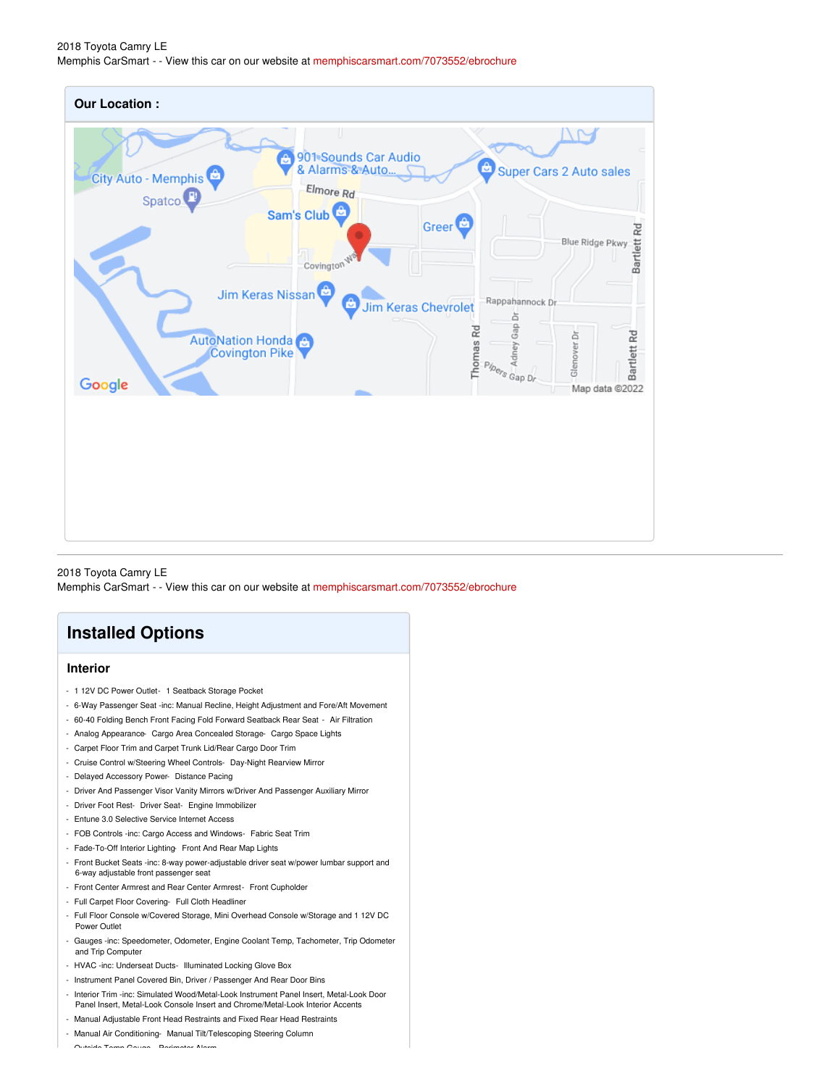| <b>Our Location:</b>                                                                                                                                                                        |                                                                                                                  |                                                                        |                                                                                                           |
|---------------------------------------------------------------------------------------------------------------------------------------------------------------------------------------------|------------------------------------------------------------------------------------------------------------------|------------------------------------------------------------------------|-----------------------------------------------------------------------------------------------------------|
| A<br>City Auto - Memphis<br>Elmore Rd<br>Spatco <sup>1</sup><br>Sam's Club<br>Covington<br>ê<br>Jim Keras Nissan<br><b>AutoNation Honda</b> <sup>+</sup><br><b>Covington Pike</b><br>Google | u<br>901 Sounds Car Audio<br>& Alarms & Auto<br>Greer <sup><sup>e</sup></sup><br>ê<br><b>Jim Keras Chevrolet</b> | ۵<br>Rappahannock Dr.<br>ă<br>Adney Gap<br>Thomas Rd<br>Pipers Gap Dr. | Super Cars 2 Auto sales<br>Bartlett Rd<br>Blue Ridge Pkwy<br>Bartlett Rd<br>Glenover.Dr<br>Map data @2022 |

2018 Toyota Camry LE Memphis CarSmart - - View this car on our website at [memphiscarsmart.com/7073552/ebrochure](https://memphiscarsmart.com/vehicle/7073552/2018-toyota-camry-le-memphis-tennessee-38128/7073552/ebrochure)

## **Installed Options**

### **Interior**

- 1 12V DC Power Outlet- 1 Seatback Storage Pocket
- 6-Way Passenger Seat -inc: Manual Recline, Height Adjustment and Fore/Aft Movement
- 60-40 Folding Bench Front Facing Fold Forward Seatback Rear Seat Air Filtration
- Analog Appearance- Cargo Area Concealed Storage- Cargo Space Lights
- Carpet Floor Trim and Carpet Trunk Lid/Rear Cargo Door Trim
- Cruise Control w/Steering Wheel Controls- Day-Night Rearview Mirror
- Delayed Accessory Power- Distance Pacing
- Driver And Passenger Visor Vanity Mirrors w/Driver And Passenger Auxiliary Mirror
- Driver Foot Rest- Driver Seat- Engine Immobilizer
- Entune 3.0 Selective Service Internet Access
- FOB Controls -inc: Cargo Access and Windows- Fabric Seat Trim
- Fade-To-Off Interior Lighting- Front And Rear Map Lights
- Front Bucket Seats -inc: 8-way power-adjustable driver seat w/power lumbar support and 6-way adjustable front passenger seat
- Front Center Armrest and Rear Center Armrest- Front Cupholder
- Full Carpet Floor Covering- Full Cloth Headliner
- Full Floor Console w/Covered Storage, Mini Overhead Console w/Storage and 1 12V DC Power Outlet
- Gauges -inc: Speedometer, Odometer, Engine Coolant Temp, Tachometer, Trip Odometer and Trip Computer
- HVAC -inc: Underseat Ducts- Illuminated Locking Glove Box
- Instrument Panel Covered Bin, Driver / Passenger And Rear Door Bins
- Interior Trim -inc: Simulated Wood/Metal-Look Instrument Panel Insert, Metal-Look Door Panel Insert, Metal-Look Console Insert and Chrome/Metal-Look Interior Accents
- Manual Adjustable Front Head Restraints and Fixed Rear Head Restraints
- Manual Air Conditioning- Manual Tilt/Telescoping Steering Column

- Outside Temp Gauge- Perimeter Alarm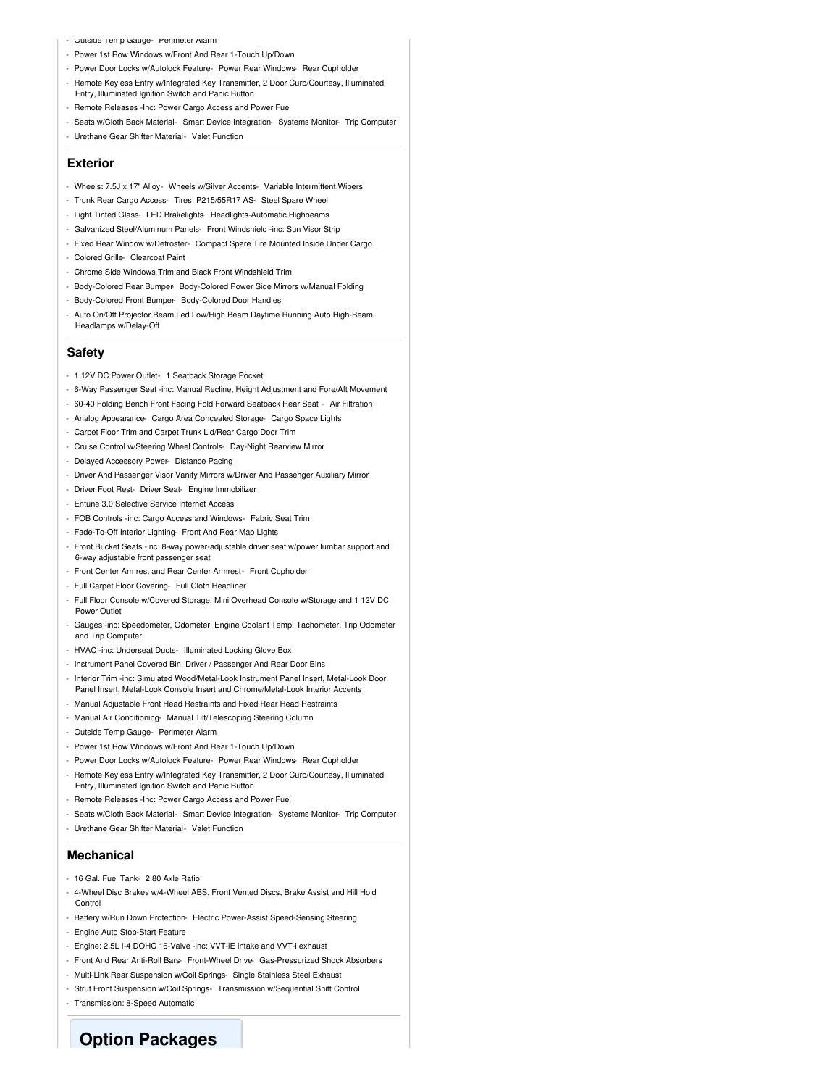- Outside Temp Gauge- Perimeter Alarm
- Power 1st Row Windows w/Front And Rear 1-Touch Up/Down
- Power Door Locks w/Autolock Feature- Power Rear Windows- Rear Cupholder
- Remote Keyless Entry w/Integrated Key Transmitter, 2 Door Curb/Courtesy, Illuminated Entry, Illuminated Ignition Switch and Panic Button
- Remote Releases -Inc: Power Cargo Access and Power Fuel
- Seats w/Cloth Back Material- Smart Device Integration- Systems Monitor- Trip Computer
- Urethane Gear Shifter Material- Valet Function

#### **Exterior**

- Wheels: 7.5J x 17" Alloy- Wheels w/Silver Accents- Variable Intermittent Wipers
- Trunk Rear Cargo Access- Tires: P215/55R17 AS- Steel Spare Wheel
- Light Tinted Glass- LED Brakelights- Headlights-Automatic Highbeams
- Galvanized Steel/Aluminum Panels- Front Windshield -inc: Sun Visor Strip
- Fixed Rear Window w/Defroster- Compact Spare Tire Mounted Inside Under Cargo
- Colored Grille- Clearcoat Paint
- Chrome Side Windows Trim and Black Front Windshield Trim
- Body-Colored Rear Bumper- Body-Colored Power Side Mirrors w/Manual Folding
- Body-Colored Front Bumper- Body-Colored Door Handles
- Auto On/Off Projector Beam Led Low/High Beam Daytime Running Auto High-Beam Headlamps w/Delay-Off

#### **Safety**

- 1 12V DC Power Outlet- 1 Seatback Storage Pocket
- 6-Way Passenger Seat -inc: Manual Recline, Height Adjustment and Fore/Aft Movement
- 60-40 Folding Bench Front Facing Fold Forward Seatback Rear Seat Air Filtration
- Analog Appearance- Cargo Area Concealed Storage- Cargo Space Lights
- Carpet Floor Trim and Carpet Trunk Lid/Rear Cargo Door Trim
- Cruise Control w/Steering Wheel Controls- Day-Night Rearview Mirror
- Delayed Accessory Power- Distance Pacing
- Driver And Passenger Visor Vanity Mirrors w/Driver And Passenger Auxiliary Mirror
- Driver Foot Rest- Driver Seat- Engine Immobilizer
- Entune 3.0 Selective Service Internet Access
- FOB Controls -inc: Cargo Access and Windows- Fabric Seat Trim
- Fade-To-Off Interior Lighting- Front And Rear Map Lights
- Front Bucket Seats -inc: 8-way power-adjustable driver seat w/power lumbar support and 6-way adjustable front passenger seat
- Front Center Armrest and Rear Center Armrest- Front Cupholder
- Full Carpet Floor Covering- Full Cloth Headliner
- Full Floor Console w/Covered Storage, Mini Overhead Console w/Storage and 1 12V DC Power Outlet
- Gauges -inc: Speedometer, Odometer, Engine Coolant Temp, Tachometer, Trip Odometer and Trip Computer
- HVAC -inc: Underseat Ducts- Illuminated Locking Glove Box
- Instrument Panel Covered Bin, Driver / Passenger And Rear Door Bins
- Interior Trim -inc: Simulated Wood/Metal-Look Instrument Panel Insert, Metal-Look Door Panel Insert, Metal-Look Console Insert and Chrome/Metal-Look Interior Accents
- Manual Adjustable Front Head Restraints and Fixed Rear Head Restraint
- Manual Air Conditioning- Manual Tilt/Telescoping Steering Column
- Outside Temp Gauge- Perimeter Alarm
- Power 1st Row Windows w/Front And Rear 1-Touch Up/Down
- Power Door Locks w/Autolock Feature- Power Rear Windows- Rear Cupholder
- Remote Keyless Entry w/Integrated Key Transmitter, 2 Door Curb/Courtesy, Illuminated Entry, Illuminated Ignition Switch and Panic Button
- Remote Releases -Inc: Power Cargo Access and Power Fuel
- Seats w/Cloth Back Material- Smart Device Integration- Systems Monitor- Trip Computer
- Urethane Gear Shifter Material- Valet Function

#### **Mechanical**

- 16 Gal. Fuel Tank- 2.80 Axle Ratio
- 4-Wheel Disc Brakes w/4-Wheel ABS, Front Vented Discs, Brake Assist and Hill Hold Control
- Battery w/Run Down Protection- Electric Power-Assist Speed-Sensing Steering
- Engine Auto Stop-Start Feature
- Engine: 2.5L I-4 DOHC 16-Valve -inc: VVT-iE intake and VVT-i exhaust
- Front And Rear Anti-Roll Bars- Front-Wheel Drive- Gas-Pressurized Shock Absorbers
- Multi-Link Rear Suspension w/Coil Springs- Single Stainless Steel Exhaust
- Strut Front Suspension w/Coil Springs- Transmission w/Sequential Shift Control
- Transmission: 8-Speed Automatic

**Option Packages**